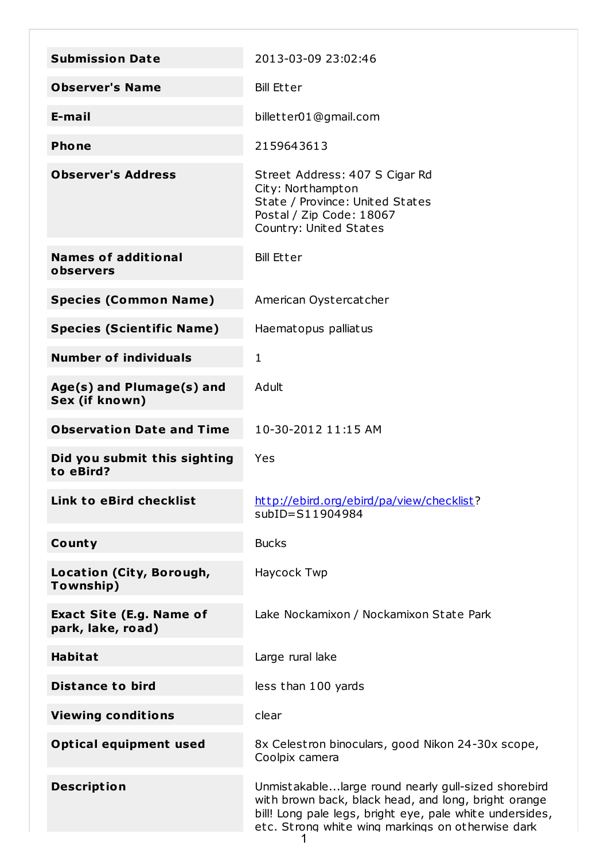| <b>Submission Date</b>                               | 2013-03-09 23:02:46                                                                                                                                                                                                          |
|------------------------------------------------------|------------------------------------------------------------------------------------------------------------------------------------------------------------------------------------------------------------------------------|
| <b>Observer's Name</b>                               | <b>Bill Etter</b>                                                                                                                                                                                                            |
| E-mail                                               | billetter01@gmail.com                                                                                                                                                                                                        |
| <b>Phone</b>                                         | 2159643613                                                                                                                                                                                                                   |
| <b>Observer's Address</b>                            | Street Address: 407 S Cigar Rd<br>City: Northampton<br>State / Province: United States<br>Postal / Zip Code: 18067<br>Country: United States                                                                                 |
| <b>Names of additional</b><br>observers              | <b>Bill Etter</b>                                                                                                                                                                                                            |
| <b>Species (Common Name)</b>                         | American Oystercatcher                                                                                                                                                                                                       |
| <b>Species (Scientific Name)</b>                     | Haematopus palliatus                                                                                                                                                                                                         |
| <b>Number of individuals</b>                         | 1                                                                                                                                                                                                                            |
| Age(s) and Plumage(s) and<br>Sex (if known)          | Adult                                                                                                                                                                                                                        |
| <b>Observation Date and Time</b>                     | 10-30-2012 11:15 AM                                                                                                                                                                                                          |
| Did you submit this sighting<br>to eBird?            | Yes                                                                                                                                                                                                                          |
| <b>Link to eBird checklist</b>                       | http://ebird.org/ebird/pa/view/checklist?<br>subID=S11904984                                                                                                                                                                 |
| County                                               | <b>Bucks</b>                                                                                                                                                                                                                 |
| Location (City, Borough,<br>Township)                | Haycock Twp                                                                                                                                                                                                                  |
| <b>Exact Site (E.g. Name of</b><br>park, lake, road) | Lake Nockamixon / Nockamixon State Park                                                                                                                                                                                      |
| <b>Habitat</b>                                       | Large rural lake                                                                                                                                                                                                             |
| <b>Distance to bird</b>                              | less than 100 yards                                                                                                                                                                                                          |
| <b>Viewing conditions</b>                            | clear                                                                                                                                                                                                                        |
| <b>Optical equipment used</b>                        | 8x Celestron binoculars, good Nikon 24-30x scope,<br>Coolpix camera                                                                                                                                                          |
| <b>Description</b>                                   | Unmistakablelarge round nearly gull-sized shorebird<br>with brown back, black head, and long, bright orange<br>bill! Long pale legs, bright eye, pale white undersides,<br>etc. Strong white wing markings on otherwise dark |